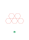